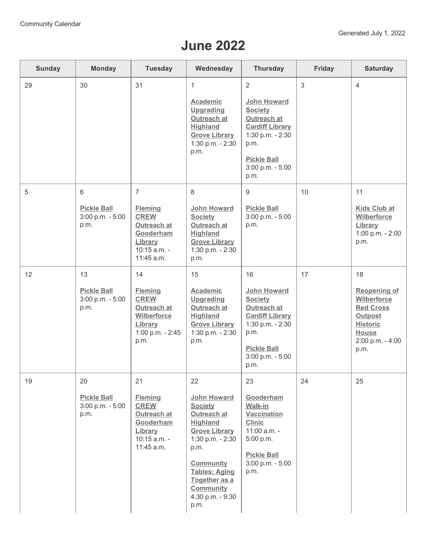## **June 2022**

| Sunday | <b>Monday</b>                                        | <b>Tuesday</b>                                                                                                       | Wednesday                                                                                                                                                                                                                                     | <b>Thursday</b>                                                                                                                                                   | <b>Friday</b> | <b>Saturday</b>                                                                                                                                      |
|--------|------------------------------------------------------|----------------------------------------------------------------------------------------------------------------------|-----------------------------------------------------------------------------------------------------------------------------------------------------------------------------------------------------------------------------------------------|-------------------------------------------------------------------------------------------------------------------------------------------------------------------|---------------|------------------------------------------------------------------------------------------------------------------------------------------------------|
| 29     | 30                                                   | 31                                                                                                                   | $\mathbf{1}$<br><b>Academic</b><br><b>Upgrading</b><br>Outreach at<br><b>Highland</b><br><b>Grove Library</b><br>1:30 p.m. - 2:30<br>p.m.                                                                                                     | 2<br><b>John Howard</b><br><b>Society</b><br>Outreach at<br><b>Cardiff Library</b><br>1:30 p.m. - 2:30<br>p.m.<br><b>Pickle Ball</b><br>3:00 p.m. - 5:00<br>p.m.  | 3             | $\overline{4}$                                                                                                                                       |
| 5      | 6<br><b>Pickle Ball</b><br>3:00 p.m. - 5:00<br>p.m.  | $\overline{7}$<br><b>Fleming</b><br><b>CREW</b><br>Outreach at<br>Gooderham<br>Library<br>10:15 a.m. -<br>11:45 a.m. | 8<br><b>John Howard</b><br><b>Society</b><br>Outreach at<br><b>Highland</b><br><b>Grove Library</b><br>1:30 p.m. - 2:30<br>p.m.                                                                                                               | 9<br><b>Pickle Ball</b><br>3:00 p.m. - 5:00<br>p.m.                                                                                                               | 10            | 11<br><b>Kids Club at</b><br><b>Wilberforce</b><br>Library<br>1:00 p.m. - 2:00<br>p.m.                                                               |
| 12     | 13<br><b>Pickle Ball</b><br>3:00 p.m. - 5:00<br>p.m. | 14<br><b>Fleming</b><br><b>CREW</b><br>Outreach at<br>Wilberforce<br>Library<br>1:00 p.m. - 2:45<br>p.m.             | 15<br><b>Academic</b><br><b>Upgrading</b><br><b>Outreach at</b><br><b>Highland</b><br><b>Grove Library</b><br>1:30 p.m. - 2:30<br>p.m.                                                                                                        | 16<br>John Howard<br><b>Society</b><br><b>Outreach at</b><br><b>Cardiff Library</b><br>1:30 p.m. - 2:30<br>p.m.<br><b>Pickle Ball</b><br>3:00 p.m. - 5:00<br>p.m. | 17            | 18<br><b>Reopening of</b><br><b>Wilberforce</b><br><b>Red Cross</b><br><b>Outpost</b><br><b>Historic</b><br><b>House</b><br>2:00 p.m. - 4:00<br>p.m. |
| 19     | 20<br><b>Pickle Ball</b><br>3:00 p.m. - 5:00<br>p.m. | 21<br><b>Fleming</b><br><b>CREW</b><br>Outreach at<br>Gooderham<br>Library<br>10:15 a.m. -<br>11:45 a.m.             | 22<br><b>John Howard</b><br><b>Society</b><br>Outreach at<br><b>Highland</b><br><b>Grove Library</b><br>1:30 p.m. - 2:30<br>p.m.<br><b>Community</b><br><b>Tables: Aging</b><br>Together as a<br><b>Community</b><br>4:30 p.m. - 9:30<br>p.m. | 23<br>Gooderham<br>Walk-in<br><b>Vaccination</b><br><b>Clinic</b><br>11:00 a.m. -<br>5:00 p.m.<br><b>Pickle Ball</b><br>3:00 p.m. - 5:00<br>p.m.                  | 24            | 25                                                                                                                                                   |